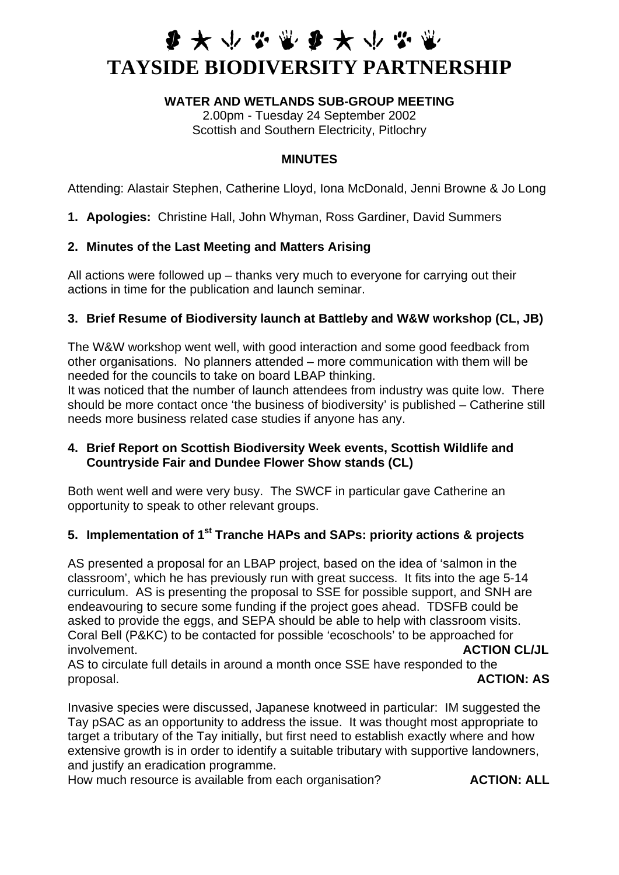# **参大小学家参大小学家 TAYSIDE BIODIVERSITY PARTNERSHIP**

#### **WATER AND WETLANDS SUB-GROUP MEETING**

2.00pm - Tuesday 24 September 2002 Scottish and Southern Electricity, Pitlochry

#### **MINUTES**

Attending: Alastair Stephen, Catherine Lloyd, Iona McDonald, Jenni Browne & Jo Long

**1. Apologies:** Christine Hall, John Whyman, Ross Gardiner, David Summers

### **2. Minutes of the Last Meeting and Matters Arising**

All actions were followed up – thanks very much to everyone for carrying out their actions in time for the publication and launch seminar.

### **3. Brief Resume of Biodiversity launch at Battleby and W&W workshop (CL, JB)**

The W&W workshop went well, with good interaction and some good feedback from other organisations. No planners attended – more communication with them will be needed for the councils to take on board LBAP thinking.

It was noticed that the number of launch attendees from industry was quite low. There should be more contact once 'the business of biodiversity' is published – Catherine still needs more business related case studies if anyone has any.

### **4. Brief Report on Scottish Biodiversity Week events, Scottish Wildlife and Countryside Fair and Dundee Flower Show stands (CL)**

Both went well and were very busy. The SWCF in particular gave Catherine an opportunity to speak to other relevant groups.

## **5. Implementation of 1st Tranche HAPs and SAPs: priority actions & projects**

AS presented a proposal for an LBAP project, based on the idea of 'salmon in the classroom', which he has previously run with great success. It fits into the age 5-14 curriculum. AS is presenting the proposal to SSE for possible support, and SNH are endeavouring to secure some funding if the project goes ahead. TDSFB could be asked to provide the eggs, and SEPA should be able to help with classroom visits. Coral Bell (P&KC) to be contacted for possible 'ecoschools' to be approached for involvement. **ACTION CL/JL**

AS to circulate full details in around a month once SSE have responded to the proposal. **ACTION: AS**

Invasive species were discussed, Japanese knotweed in particular: IM suggested the Tay pSAC as an opportunity to address the issue. It was thought most appropriate to target a tributary of the Tay initially, but first need to establish exactly where and how extensive growth is in order to identify a suitable tributary with supportive landowners, and justify an eradication programme.

How much resource is available from each organisation? **ACTION: ALL**